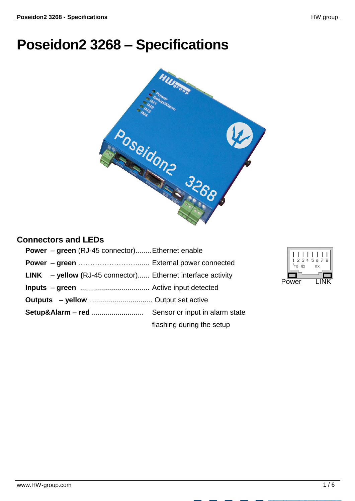## **Poseidon2 3268 – Specifications**



## **Connectors and LEDs**

| <b>Power</b> – green (RJ-45 connector) Ethernet enable               |                           |
|----------------------------------------------------------------------|---------------------------|
|                                                                      |                           |
| <b>LINK</b> $-$ yellow (RJ-45 connector) Ethernet interface activity |                           |
|                                                                      |                           |
|                                                                      |                           |
|                                                                      |                           |
|                                                                      | flashing during the setup |

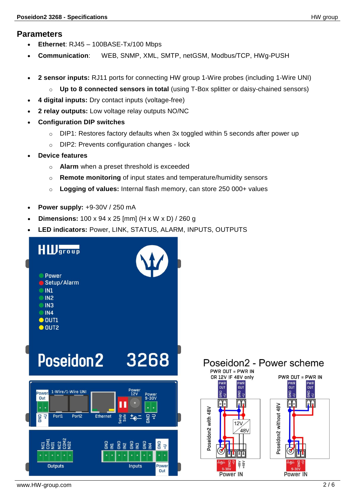## **Parameters**

- **Ethernet**: RJ45 100BASE-Tx/100 Mbps
- **Communication**: WEB, SNMP, XML, SMTP, netGSM, Modbus/TCP, HWg-PUSH
- **2 sensor inputs:** RJ11 ports for connecting HW group 1-Wire probes (including 1-Wire UNI)
	- o **Up to 8 connected sensors in total** (using T-Box splitter or daisy-chained sensors)
- **4 digital inputs:** Dry contact inputs (voltage-free)
- **2 relay outputs:** Low voltage relay outputs NO/NC
- **Configuration DIP switches**
	- o DIP1: Restores factory defaults when 3x toggled within 5 seconds after power up
	- o DIP2: Prevents configuration changes lock
- **Device features**
	- o **Alarm** when a preset threshold is exceeded
	- o **Remote monitoring** of input states and temperature/humidity sensors
	- o **Logging of values:** Internal flash memory, can store 250 000+ values
- **Power supply:** +9-30V / 250 mA
- **Dimensions:** 100 x 94 x 25 [mm] (H x W x D) / 260 g
- **LED indicators:** Power, LINK, STATUS, ALARM, INPUTS, OUTPUTS

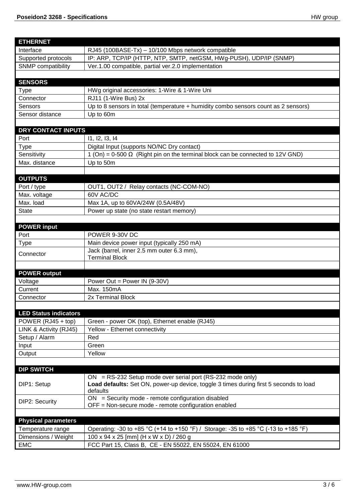| <b>ETHERNET</b>              |                                                                                       |  |
|------------------------------|---------------------------------------------------------------------------------------|--|
| Interface                    | RJ45 (100BASE-Tx) - 10/100 Mbps network compatible                                    |  |
| Supported protocols          | IP: ARP, TCP/IP (HTTP, NTP, SMTP, netGSM, HWg-PUSH), UDP/IP (SNMP)                    |  |
| <b>SNMP</b> compatibility    | Ver.1.00 compatible, partial ver.2.0 implementation                                   |  |
|                              |                                                                                       |  |
| <b>SENSORS</b>               |                                                                                       |  |
| <b>Type</b>                  | HWg original accessories: 1-Wire & 1-Wire Uni                                         |  |
| Connector                    | RJ11 (1-Wire Bus) 2x                                                                  |  |
| <b>Sensors</b>               | Up to 8 sensors in total (temperature + humidity combo sensors count as 2 sensors)    |  |
| Sensor distance              | Up to 60m                                                                             |  |
|                              |                                                                                       |  |
| DRY CONTACT INPUTS           |                                                                                       |  |
| Port                         | 11, 12, 13, 14                                                                        |  |
| <b>Type</b>                  | Digital Input (supports NO/NC Dry contact)                                            |  |
| Sensitivity                  | 1 (On) = $0-500 \Omega$ (Right pin on the terminal block can be connected to 12V GND) |  |
| Max. distance                | Up to 50m                                                                             |  |
|                              |                                                                                       |  |
| <b>OUTPUTS</b>               |                                                                                       |  |
| Port / type                  | OUT1, OUT2 / Relay contacts (NC-COM-NO)<br>60V AC/DC                                  |  |
| Max. voltage<br>Max. load    | Max 1A, up to 60VA/24W (0.5A/48V)                                                     |  |
| <b>State</b>                 | Power up state (no state restart memory)                                              |  |
|                              |                                                                                       |  |
| <b>POWER input</b>           |                                                                                       |  |
| Port                         | POWER 9-30V DC                                                                        |  |
| <b>Type</b>                  | Main device power input (typically 250 mA)                                            |  |
|                              | Jack (barrel, inner 2.5 mm outer 6.3 mm),                                             |  |
| Connector                    | <b>Terminal Block</b>                                                                 |  |
|                              |                                                                                       |  |
| <b>POWER output</b>          |                                                                                       |  |
| Voltage                      | Power Out = Power IN (9-30V)                                                          |  |
| Current                      | Max. 150mA                                                                            |  |
| Connector                    | 2x Terminal Block                                                                     |  |
|                              |                                                                                       |  |
| <b>LED Status indicators</b> |                                                                                       |  |
| POWER (RJ45 + top)           | Green - power OK (top), Ethernet enable (RJ45)                                        |  |
| LINK & Activity (RJ45)       | Yellow - Ethernet connectivity                                                        |  |
| Setup / Alarm                | Red                                                                                   |  |
| Input                        | Green                                                                                 |  |
| Output                       | Yellow                                                                                |  |
|                              |                                                                                       |  |
| <b>DIP SWITCH</b>            | $ON = RS-232$ Setup mode over serial port (RS-232 mode only)                          |  |
| DIP1: Setup                  | Load defaults: Set ON, power-up device, toggle 3 times during first 5 seconds to load |  |
|                              | defaults                                                                              |  |
|                              | $ON = Security$ mode - remote configuration disabled                                  |  |
| <b>DIP2: Security</b>        | OFF = Non-secure mode - remote configuration enabled                                  |  |
|                              |                                                                                       |  |
| <b>Physical parameters</b>   |                                                                                       |  |
| Temperature range            | Operating: -30 to +85 °C (+14 to +150 °F) / Storage: -35 to +85 °C (-13 to +185 °F)   |  |
| Dimensions / Weight          | 100 x 94 x 25 [mm] (H x W x D) / 260 g                                                |  |
| <b>EMC</b>                   | FCC Part 15, Class B, CE - EN 55022, EN 55024, EN 61000                               |  |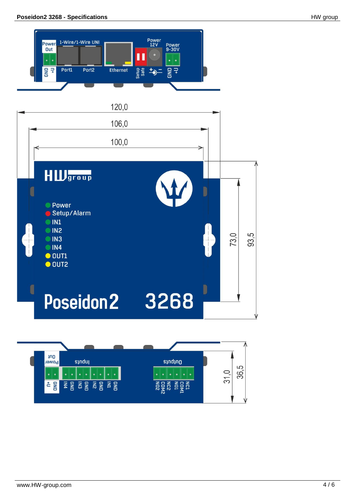